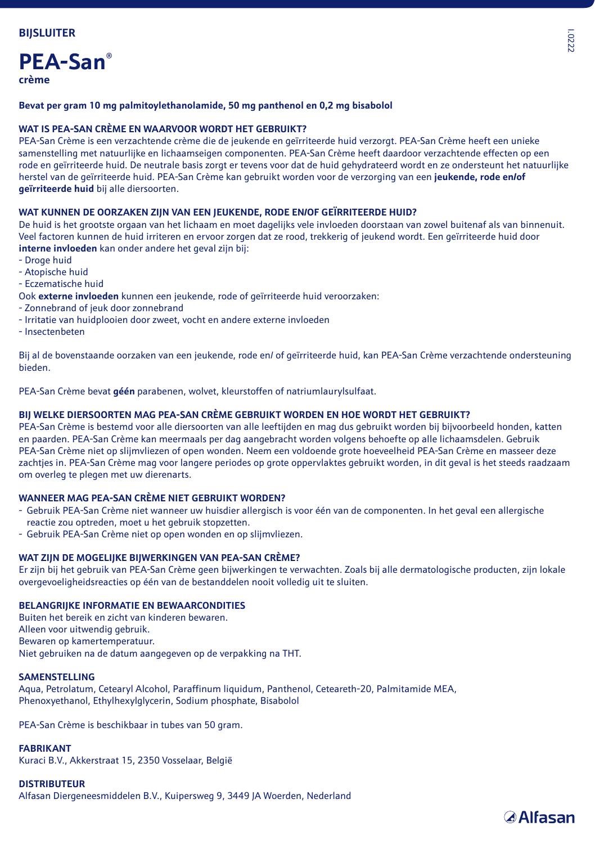# **PEA-San® crème**

# **Bevat per gram 10 mg palmitoylethanolamide, 50 mg panthenol en 0,2 mg bisabolol**

### **WAT IS PEA-SAN CRÈME EN WAARVOOR WORDT HET GEBRUIKT?**

PEA-San Crème is een verzachtende crème die de jeukende en geïrriteerde huid verzorgt. PEA-San Crème heeft een unieke samenstelling met natuurlijke en lichaamseigen componenten. PEA-San Crème heeft daardoor verzachtende effecten op een rode en geïrriteerde huid. De neutrale basis zorgt er tevens voor dat de huid gehydrateerd wordt en ze ondersteunt het natuurlijke herstel van de geïrriteerde huid. PEA-San Crème kan gebruikt worden voor de verzorging van een **jeukende, rode en/of geïrriteerde huid** bij alle diersoorten.

#### **WAT KUNNEN DE OORZAKEN ZIJN VAN EEN JEUKENDE, RODE EN/OF GEÏRRITEERDE HUID?**

De huid is het grootste orgaan van het lichaam en moet dagelijks vele invloeden doorstaan van zowel buitenaf als van binnenuit. Veel factoren kunnen de huid irriteren en ervoor zorgen dat ze rood, trekkerig of jeukend wordt. Een geïrriteerde huid door **interne invloeden** kan onder andere het geval zijn bij:

- Droge huid
- Atopische huid
- Eczematische huid
- Ook **externe invloeden** kunnen een jeukende, rode of geïrriteerde huid veroorzaken:
- Zonnebrand of jeuk door zonnebrand
- Irritatie van huidplooien door zweet, vocht en andere externe invloeden
- Insectenbeten

Bij al de bovenstaande oorzaken van een jeukende, rode en/ of geïrriteerde huid, kan PEA-San Crème verzachtende ondersteuning bieden.

PEA-San Crème bevat **géén** parabenen, wolvet, kleurstoffen of natriumlaurylsulfaat.

# **BIJ WELKE DIERSOORTEN MAG PEA-SAN CRÈME GEBRUIKT WORDEN EN HOE WORDT HET GEBRUIKT?**

PEA-San Crème is bestemd voor alle diersoorten van alle leeftijden en mag dus gebruikt worden bij bijvoorbeeld honden, katten en paarden. PEA-San Crème kan meermaals per dag aangebracht worden volgens behoefte op alle lichaamsdelen. Gebruik PEA-San Crème niet op slijmvliezen of open wonden. Neem een voldoende grote hoeveelheid PEA-San Crème en masseer deze zachtjes in. PEA-San Crème mag voor langere periodes op grote oppervlaktes gebruikt worden, in dit geval is het steeds raadzaam om overleg te plegen met uw dierenarts.

### **WANNEER MAG PEA-SAN CRÈME NIET GEBRUIKT WORDEN?**

- Gebruik PEA-San Crème niet wanneer uw huisdier allergisch is voor één van de componenten. In het geval een allergische reactie zou optreden, moet u het gebruik stopzetten.
- Gebruik PEA-San Crème niet op open wonden en op slijmvliezen.

#### **WAT ZIJN DE MOGELIJKE BIJWERKINGEN VAN PEA-SAN CRÈME?**

Er zijn bij het gebruik van PEA-San Crème geen bijwerkingen te verwachten. Zoals bij alle dermatologische producten, zijn lokale overgevoeligheidsreacties op één van de bestanddelen nooit volledig uit te sluiten.

## **BELANGRIJKE INFORMATIE EN BEWAARCONDITIES**

Buiten het bereik en zicht van kinderen bewaren. Alleen voor uitwendig gebruik. Bewaren op kamertemperatuur. Niet gebruiken na de datum aangegeven op de verpakking na THT.

#### **SAMENSTELLING**

Aqua, Petrolatum, Cetearyl Alcohol, Paraffinum liquidum, Panthenol, Ceteareth-20, Palmitamide MEA, Phenoxyethanol, Ethylhexylglycerin, Sodium phosphate, Bisabolol

PEA-San Crème is beschikbaar in tubes van 50 gram.

# **FABRIKANT**

Kuraci B.V., Akkerstraat 15, 2350 Vosselaar, België

# **DISTRIBUTEUR**

Alfasan Diergeneesmiddelen B.V., Kuipersweg 9, 3449 JA Woerden, Nederland

*<u>Alfasan</u>*